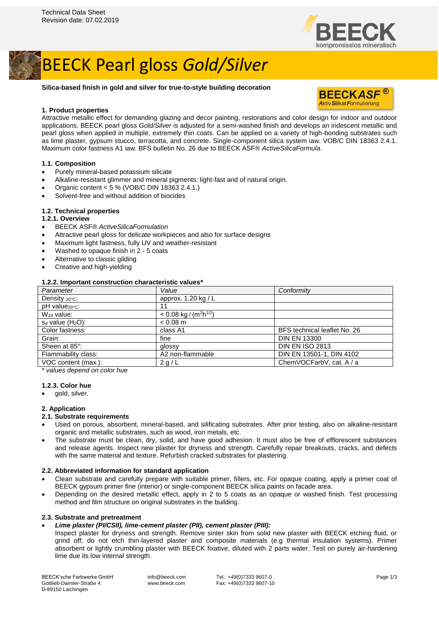

## BEECK Pearl gloss *Gold/Silver*

## **Silica-based finish in gold and silver for true-to-style building decoration**

## **1. Product properties**



Attractive metallic effect for demanding glazing and decor painting, restorations and color design for indoor and outdoor applications. BEECK pearl gloss *Gold/Silver* is adjusted for a semi-washed finish and develops an iridescent metallic and pearl gloss when applied in multiple, extremely thin coats. Can be applied on a variety of high-bonding substrates such as lime plaster, gypsum stucco, terracotta, and concrete. Single-component silica system iaw. VOB/C DIN 18363 2.4.1. Maximum color fastness A1 iaw. BFS bulletin No. 26 due to BEECK ASF® *ActiveSilicaFormula*.

## **1.1. Composition**

- Purely mineral-based potassium silicate
- Alkaline-resistant glimmer and mineral pigments: light-fast and of natural origin.
- Organic content < 5 % (VOB/C DIN 18363 2.4.1.)
- Solvent-free and without addition of biocides

## **1.2. Technical properties**

#### **1.2.1. Overview**

- BEECK ASF® *ActiveSilicaFormulation*
- Attractive pearl gloss for delicate workpieces and also for surface designs
- Maximum light fastness, fully UV and weather-resistant
- Washed to opaque finish in 2 5 coats
- Alternative to classic gilding
- Creative and high-yielding

## **1.2.2. Important construction characteristic values\***

| Parameter                     | Value                                            | Conformity                   |
|-------------------------------|--------------------------------------------------|------------------------------|
| Density $20^{\circ}$ c:       | approx. $1.20 \text{ kg}/L$                      |                              |
| $pH$ value $_{20^{\circ}C}$ : | 11                                               |                              |
| $W24$ value:                  | $< 0.08$ kg / (m <sup>2</sup> h <sup>1/2</sup> ) |                              |
| $s_d$ value $(H_2O)$ :        | $< 0.08$ m                                       |                              |
| Color fastness:               | class A1                                         | BFS technical leaflet No. 26 |
| Grain:                        | fine                                             | <b>DIN EN 13300</b>          |
| Sheen at 85°:                 | glossy                                           | <b>DIN EN ISO 2813</b>       |
| Flammability class:           | A2 non-flammable                                 | DIN EN 13501-1, DIN 4102     |
| VOC content (max.):           | 2 g/L                                            | ChemVOCFarbV, cat. A / a     |
|                               |                                                  |                              |

*\* values depend on color hue*

#### **1.2.3. Color hue**

gold, silver.

## **2. Application**

#### **2.1. Substrate requirements**

- Used on porous, absorbent, mineral-based, and silificating substrates. After prior testing, also on alkaline-resistant organic and metallic substrates, such as wood, iron metals, etc.
- The substrate must be clean, dry, solid, and have good adhesion. It must also be free of efflorescent substances and release agents. Inspect new plaster for dryness and strength. Carefully repair breakouts, cracks, and defects with the same material and texture. Refurbish cracked substrates for plastering.

#### **2.2. Abbreviated information for standard application**

- Clean substrate and carefully prepare with suitable primer, fillers, etc. For opaque coating, apply a primer coat of BEECK gypsum primer fine (interior) or single-component BEECK silica paints on facade area.
- Depending on the desired metallic effect, apply in 2 to 5 coats as an opaque or washed finish. Test processing method and film structure on original substrates in the building.

## **2.3. Substrate and pretreatment**

#### • *Lime plaster (PI/CSII), lime-cement plaster (PII), cement plaster (PIII):*

Inspect plaster for dryness and strength. Remove sinter skin from solid new plaster with BEECK etching fluid, or grind off; do not etch thin-layered plaster and composite materials (e.g thermal insulation systems). Primer absorbent or lightly crumbling plaster with BEECK fixative, diluted with 2 parts water. Test on purely air-hardening lime due its low internal strength.

BEECK'sche Farbwerke GmbH Gottlieb-Daimler-Straße 4 D-89150 Laichingen

info@beeck.com www.beeck.com

Tel.: +49(0)7333 9607-0 Fax: +49(0)7333 9607-10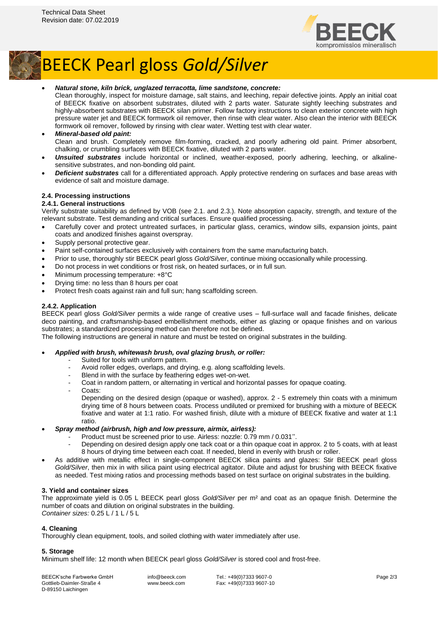

## BEECK Pearl gloss *Gold/Silver*

## • *Natural stone, kiln brick, unglazed terracotta, lime sandstone, concrete:*

Clean thoroughly, inspect for moisture damage, salt stains, and leeching, repair defective joints. Apply an initial coat of BEECK fixative on absorbent substrates, diluted with 2 parts water. Saturate sightly leeching substrates and highly-absorbent substrates with BEECK silan primer. Follow factory instructions to clean exterior concrete with high pressure water jet and BEECK formwork oil remover, then rinse with clear water. Also clean the interior with BEECK formwork oil remover, followed by rinsing with clear water. Wetting test with clear water.

- *Mineral-based old paint:* Clean and brush. Completely remove film-forming, cracked, and poorly adhering old paint. Primer absorbent, chalking, or crumbling surfaces with BEECK fixative, diluted with 2 parts water.
- *Unsuited substrates* include horizontal or inclined, weather-exposed, poorly adhering, leeching, or alkalinesensitive substrates, and non-bonding old paint.
- *Deficient substrates* call for a differentiated approach. Apply protective rendering on surfaces and base areas with evidence of salt and moisture damage.

## **2.4. Processing instructions**

## **2.4.1. General instructions**

Verify substrate suitability as defined by VOB (see 2.1. and 2.3.). Note absorption capacity, strength, and texture of the relevant substrate. Test demanding and critical surfaces. Ensure qualified processing.

- Carefully cover and protect untreated surfaces, in particular glass, ceramics, window sills, expansion joints, paint coats and anodized finishes against overspray.
- Supply personal protective gear.
- Paint self-contained surfaces exclusively with containers from the same manufacturing batch.
- Prior to use, thoroughly stir BEECK pearl gloss *Gold/Silver*, continue mixing occasionally while processing.
- Do not process in wet conditions or frost risk, on heated surfaces, or in full sun.
- Minimum processing temperature: +8°C
- Drying time: no less than 8 hours per coat
- Protect fresh coats against rain and full sun; hang scaffolding screen.

## **2.4.2. Application**

BEECK pearl gloss *Gold/Silver* permits a wide range of creative uses – full-surface wall and facade finishes, delicate deco painting, and craftsmanship-based embellishment methods, either as glazing or opaque finishes and on various substrates; a standardized processing method can therefore not be defined.

The following instructions are general in nature and must be tested on original substrates in the building.

#### • *Applied with brush, whitewash brush, oval glazing brush, or roller:*

- Suited for tools with uniform pattern.
- Avoid roller edges, overlaps, and drying, e.g. along scaffolding levels.
- Blend in with the surface by feathering edges wet-on-wet.
- Coat in random pattern, or alternating in vertical and horizontal passes for opaque coating.
- Coats:

Depending on the desired design (opaque or washed), approx. 2 - 5 extremely thin coats with a minimum drying time of 8 hours between coats. Process undiluted or premixed for brushing with a mixture of BEECK fixative and water at 1:1 ratio. For washed finish, dilute with a mixture of BEECK fixative and water at 1:1 ratio.

#### • *Spray method (airbrush, high and low pressure, airmix, airless):*

- Product must be screened prior to use. Airless: nozzle: 0.79 mm / 0.031".
- Depending on desired design apply one tack coat or a thin opaque coat in approx. 2 to 5 coats, with at least 8 hours of drying time between each coat. If needed, blend in evenly with brush or roller.
- As additive with metallic effect in single-component BEECK silica paints and glazes: Stir BEECK pearl gloss *Gold/Silver*, then mix in with silica paint using electrical agitator. Dilute and adjust for brushing with BEECK fixative as needed. Test mixing ratios and processing methods based on test surface on original substrates in the building.

#### **3. Yield and container sizes**

The approximate yield is 0.05 L BEECK pearl gloss *Gold/Silver* per m² and coat as an opaque finish. Determine the number of coats and dilution on original substrates in the building. *Container sizes:* 0.25 L / 1 L / 5 L

#### **4. Cleaning**

Thoroughly clean equipment, tools, and soiled clothing with water immediately after use.

#### **5. Storage**

Minimum shelf life: 12 month when BEECK pearl gloss *Gold/Silver* is stored cool and frost-free.

BEECK'sche Farbwerke GmbH Gottlieb-Daimler-Straße 4 D-89150 Laichingen

info@beeck.com www.beeck.com Tel.: +49(0)7333 9607-0 Fax: +49(0)7333 9607-10